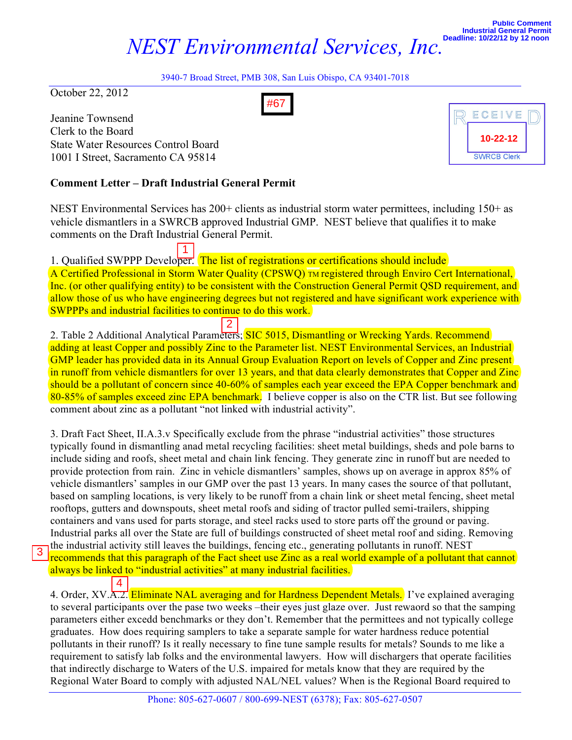## *NEST Environmental Services, Inc.*

**10-22-12**

**SWRCB Clerk** 

ECEIVE

3940-7 Broad Street, PMB 308, San Luis Obispo, CA 93401-7018

October 22, 2012

Jeanine Townsend Clerk to the Board State Water Resources Control Board 1001 I Street, Sacramento CA 95814

## **Comment Letter – Draft Industrial General Permit**

NEST Environmental Services has 200+ clients as industrial storm water permittees, including 150+ as vehicle dismantlers in a SWRCB approved Industrial GMP. NEST believe that qualifies it to make comments on the Draft Industrial General Permit.

1. Qualified SWPPP Developer. The list of registrations or certifications should include A Certified Professional in Storm Water Quality (CPSWQ) TM registered through Enviro Cert International, Inc. (or other qualifying entity) to be consistent with the Construction General Permit QSD requirement, and allow those of us who have engineering degrees but not registered and have significant work experience with SWPPPs and industrial facilities to continue to do this work.

2. Table 2 Additional Analytical Parameters; SIC 5015, Dismantling or Wrecking Yards. Recommend adding at least Copper and possibly Zinc to the Parameter list. NEST Environmental Services, an Industrial GMP leader has provided data in its Annual Group Evaluation Report on levels of Copper and Zinc present in runoff from vehicle dismantlers for over 13 years, and that data clearly demonstrates that Copper and Zinc should be a pollutant of concern since 40-60% of samples each year exceed the EPA Copper benchmark and 80-85% of samples exceed zinc EPA benchmark. I believe copper is also on the CTR list. But see following comment about zinc as a pollutant "not linked with industrial activity".

3. Draft Fact Sheet, II.A.3.v Specifically exclude from the phrase "industrial activities" those structures typically found in dismantling anad metal recycling facilities: sheet metal buildings, sheds and pole barns to include siding and roofs, sheet metal and chain link fencing. They generate zinc in runoff but are needed to provide protection from rain. Zinc in vehicle dismantlers' samples, shows up on average in approx 85% of vehicle dismantlers' samples in our GMP over the past 13 years. In many cases the source of that pollutant, based on sampling locations, is very likely to be runoff from a chain link or sheet metal fencing, sheet metal rooftops, gutters and downspouts, sheet metal roofs and siding of tractor pulled semi-trailers, shipping containers and vans used for parts storage, and steel racks used to store parts off the ground or paving. Industrial parks all over the State are full of buildings constructed of sheet metal roof and siding. Removing the industrial activity still leaves the buildings, fencing etc., generating pollutants in runoff. NEST recommends that this paragraph of the Fact sheet use Zinc as a real world example of a pollutant that cannot Heading Townsend<br>
Elects to the Board<br>
State Water Resources Control Board<br>
10011 Street, Sacramento CA 95814<br> **Comment Letter – Draft Industrial General Pern**<br>
NEST Environmental Services has 200+ clients as in<br>
vehicle

always be linked to "industrial activities" at many industrial facilities.

4. Order, XV.A.2. Eliminate NAL averaging and for Hardness Dependent Metals. I've explained averaging to several participants over the pase two weeks –their eyes just glaze over. Just rewaord so that the samping parameters either excedd benchmarks or they don't. Remember that the permittees and not typically college graduates. How does requiring samplers to take a separate sample for water hardness reduce potential pollutants in their runoff? Is it really necessary to fine tune sample results for metals? Sounds to me like a requirement to satisfy lab folks and the environmental lawyers. How will dischargers that operate facilities that indirectly discharge to Waters of the U.S. impaired for metals know that they are required by the Regional Water Board to comply with adjusted NAL/NEL values? When is the Regional Board required to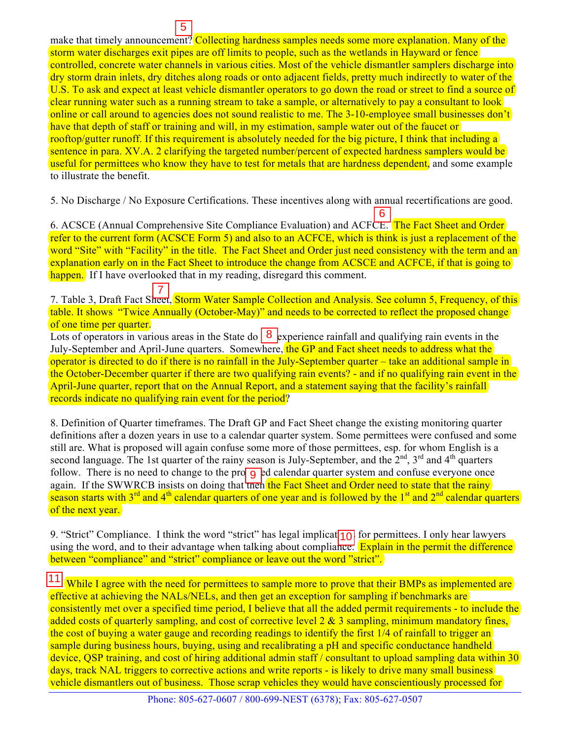make that timely announcement? Collecting hardness samples needs some more explanation. Many of the storm water discharges exit pipes are off limits to people, such as the wetlands in Hayward or fence controlled, concrete water channels in various cities. Most of the vehicle dismantler samplers discharge into dry storm drain inlets, dry ditches along roads or onto adjacent fields, pretty much indirectly to water of the U.S. To ask and expect at least vehicle dismantler operators to go down the road or street to find a source of clear running water such as a running stream to take a sample, or alternatively to pay a consultant to look online or call around to agencies does not sound realistic to me. The 3-10-employee small businesses don't have that depth of staff or training and will, in my estimation, sample water out of the faucet or rooftop/gutter runoff. If this requirement is absolutely needed for the big picture, I think that including a sentence in para. XV.A. 2 clarifying the targeted number/percent of expected hardness samplers would be useful for permittees who know they have to test for metals that are hardness dependent, and some example to illustrate the benefit.  $\frac{5}{15}$ <br>  $\frac{5}{15}$ <br>  $\frac{1}{15}$ <br>
increases the presence of limits to people, such as the wetlands<br>
ere channels in various cities. Most of the vehicle dism<br>
ere channels in various cities. Most of the vehicle dism<br>
are

5. No Discharge / No Exposure Certifications. These incentives along with annual recertifications are good.

6. ACSCE (Annual Comprehensive Site Compliance Evaluation) and ACFCE. The Fact Sheet and Order refer to the current form (ACSCE Form 5) and also to an ACFCE, which is think is just a replacement of the word "Site" with "Facility" in the title. The Fact Sheet and Order just need consistency with the term and an explanation early on in the Fact Sheet to introduce the change from ACSCE and ACFCE, if that is going to happen. If I have overlooked that in my reading, disregard this comment.

7. Table 3, Draft Fact Sheet, Storm Water Sample Collection and Analysis. See column 5, Frequency, of this table. It shows "Twice Annually (October-May)" and needs to be corrected to reflect the proposed change of one time per quarter.

Lots of operators in various areas in the State do  $\vert 8 \vert$  experience rainfall and qualifying rain events in the July-September and April-June quarters. Somewhere, the GP and Fact sheet needs to address what the operator is directed to do if there is no rainfall in the July-September quarter – take an additional sample in the October-December quarter if there are two qualifying rain events? - and if no qualifying rain event in the April-June quarter, report that on the Annual Report, and a statement saying that the facility's rainfall records indicate no qualifying rain event for the period?

8. Definition of Quarter timeframes. The Draft GP and Fact Sheet change the existing monitoring quarter definitions after a dozen years in use to a calendar quarter system. Some permittees were confused and some still are. What is proposed will again confuse some more of those permittees, esp. for whom English is a second language. The 1st quarter of the rainy season is July-September, and the  $2<sup>nd</sup>$ , 3<sup>rd</sup> and 4<sup>th</sup> quarters follow. There is no need to change to the pro $\overline{g}$  ed calendar quarter system and confuse everyone once again. If the SWWRCB insists on doing that the fact Sheet and Order need to state that the rainy season starts with  $3^{rd}$  and  $4^{th}$  calendar quarters of one year and is followed by the  $1^{st}$  and  $2^{nd}$  calendar quarters of the next year.

9. "Strict" Compliance. I think the word "strict" has legal implicat $\boxed{10}$  for permittees. I only hear lawyers using the word, and to their advantage when talking about compliance. Explain in the permit the difference between "compliance" and "strict" compliance or leave out the word "strict".

11. While I agree with the need for permittees to sample more to prove that their BMPs as implemented are effective at achieving the NALs/NELs, and then get an exception for sampling if benchmarks are consistently met over a specified time period, I believe that all the added permit requirements - to include the added costs of quarterly sampling, and cost of corrective level 2 & 3 sampling, minimum mandatory fines, the cost of buying a water gauge and recording readings to identify the first 1/4 of rainfall to trigger an sample during business hours, buying, using and recalibrating a pH and specific conductance handheld device, QSP training, and cost of hiring additional admin staff / consultant to upload sampling data within 30 days, track NAL triggers to corrective actions and write reports - is likely to drive many small business vehicle dismantlers out of business. Those scrap vehicles they would have conscientiously processed for